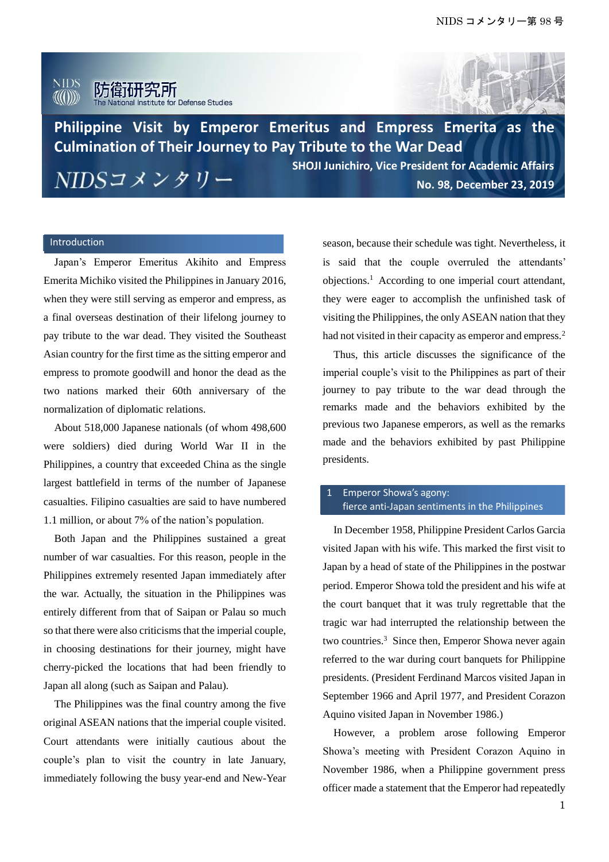#### **NIDS** 防衛研究所  $\langle\!\langle\!\langle(\mathbf())\rangle\!\rangle\!\rangle$ ute for Defense Studies



**Philippine Visit by Emperor Emeritus and Empress Emerita as the Culmination of Their Journey to Pay Tribute to the War Dead SHOJI Junichiro, Vice President for Academic Affairs**

NIDSコメンタリー

**No. 98, December 23, 2019**

## Introduction

Japan's Emperor Emeritus Akihito and Empress Emerita Michiko visited the Philippines in January 2016, when they were still serving as emperor and empress, as a final overseas destination of their lifelong journey to pay tribute to the war dead. They visited the Southeast Asian country for the first time as the sitting emperor and empress to promote goodwill and honor the dead as the two nations marked their 60th anniversary of the normalization of diplomatic relations.

About 518,000 Japanese nationals (of whom 498,600 were soldiers) died during World War II in the Philippines, a country that exceeded China as the single largest battlefield in terms of the number of Japanese casualties. Filipino casualties are said to have numbered 1.1 million, or about 7% of the nation's population.

Both Japan and the Philippines sustained a great number of war casualties. For this reason, people in the Philippines extremely resented Japan immediately after the war. Actually, the situation in the Philippines was entirely different from that of Saipan or Palau so much so that there were also criticisms that the imperial couple, in choosing destinations for their journey, might have cherry-picked the locations that had been friendly to Japan all along (such as Saipan and Palau).

The Philippines was the final country among the five original ASEAN nations that the imperial couple visited. Court attendants were initially cautious about the couple's plan to visit the country in late January, immediately following the busy year-end and New-Year season, because their schedule was tight. Nevertheless, it is said that the couple overruled the attendants' objections.<sup>1</sup> According to one imperial court attendant, they were eager to accomplish the unfinished task of visiting the Philippines, the only ASEAN nation that they had not visited in their capacity as emperor and empress.<sup>2</sup>

Thus, this article discusses the significance of the imperial couple's visit to the Philippines as part of their journey to pay tribute to the war dead through the remarks made and the behaviors exhibited by the previous two Japanese emperors, as well as the remarks made and the behaviors exhibited by past Philippine presidents.

## Emperor Showa's agony: fierce anti-Japan sentiments in the Philippines

In December 1958, Philippine President Carlos Garcia visited Japan with his wife. This marked the first visit to Japan by a head of state of the Philippines in the postwar period. Emperor Showa told the president and his wife at the court banquet that it was truly regrettable that the tragic war had interrupted the relationship between the two countries.<sup>3</sup> Since then, Emperor Showa never again referred to the war during court banquets for Philippine presidents. (President Ferdinand Marcos visited Japan in September 1966 and April 1977, and President Corazon Aquino visited Japan in November 1986.)

However, a problem arose following Emperor Showa's meeting with President Corazon Aquino in November 1986, when a Philippine government press officer made a statement that the Emperor had repeatedly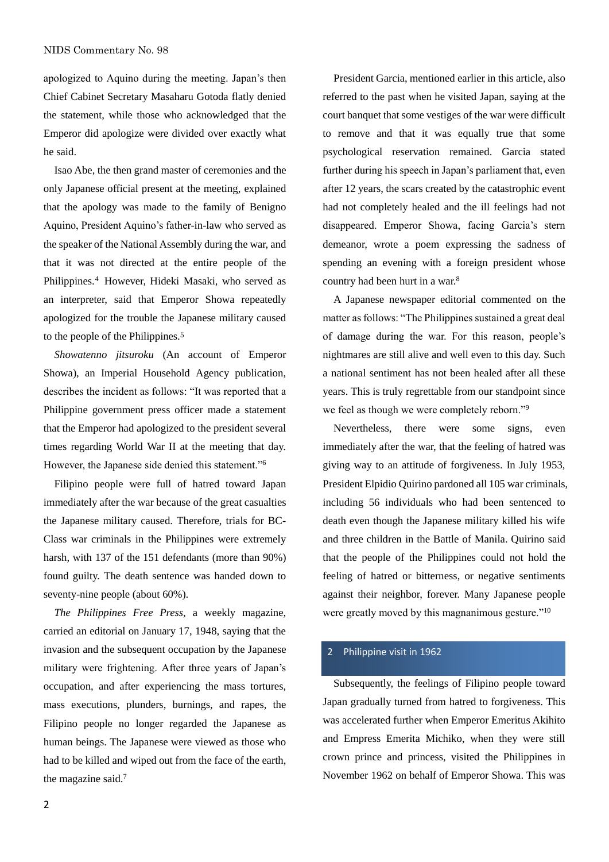apologized to Aquino during the meeting. Japan's then Chief Cabinet Secretary Masaharu Gotoda flatly denied the statement, while those who acknowledged that the Emperor did apologize were divided over exactly what he said.

Isao Abe, the then grand master of ceremonies and the only Japanese official present at the meeting, explained that the apology was made to the family of Benigno Aquino, President Aquino's father-in-law who served as the speaker of the National Assembly during the war, and that it was not directed at the entire people of the Philippines.<sup>4</sup> However, Hideki Masaki, who served as an interpreter, said that Emperor Showa repeatedly apologized for the trouble the Japanese military caused to the people of the Philippines.<sup>5</sup>

*Showatenno jitsuroku* (An account of Emperor Showa), an Imperial Household Agency publication, describes the incident as follows: "It was reported that a Philippine government press officer made a statement that the Emperor had apologized to the president several times regarding World War II at the meeting that day. However, the Japanese side denied this statement."<sup>6</sup>

 Filipino people were full of hatred toward Japan immediately after the war because of the great casualties the Japanese military caused. Therefore, trials for BC-Class war criminals in the Philippines were extremely harsh, with 137 of the 151 defendants (more than 90%) found guilty. The death sentence was handed down to seventy-nine people (about 60%).

*The Philippines Free Press*, a weekly magazine, carried an editorial on January 17, 1948, saying that the invasion and the subsequent occupation by the Japanese military were frightening. After three years of Japan's occupation, and after experiencing the mass tortures, mass executions, plunders, burnings, and rapes, the Filipino people no longer regarded the Japanese as human beings. The Japanese were viewed as those who had to be killed and wiped out from the face of the earth, the magazine said.<sup>7</sup>

President Garcia, mentioned earlier in this article, also referred to the past when he visited Japan, saying at the court banquet that some vestiges of the war were difficult to remove and that it was equally true that some psychological reservation remained. Garcia stated further during his speech in Japan's parliament that, even after 12 years, the scars created by the catastrophic event had not completely healed and the ill feelings had not disappeared. Emperor Showa, facing Garcia's stern demeanor, wrote a poem expressing the sadness of spending an evening with a foreign president whose country had been hurt in a war.<sup>8</sup>

A Japanese newspaper editorial commented on the matter as follows: "The Philippines sustained a great deal of damage during the war. For this reason, people's nightmares are still alive and well even to this day. Such a national sentiment has not been healed after all these years. This is truly regrettable from our standpoint since we feel as though we were completely reborn."<sup>9</sup>

Nevertheless, there were some signs, even immediately after the war, that the feeling of hatred was giving way to an attitude of forgiveness. In July 1953, President Elpidio Quirino pardoned all 105 war criminals, including 56 individuals who had been sentenced to death even though the Japanese military killed his wife and three children in the Battle of Manila. Quirino said that the people of the Philippines could not hold the feeling of hatred or bitterness, or negative sentiments against their neighbor, forever. Many Japanese people were greatly moved by this magnanimous gesture."<sup>10</sup>

#### 2 Philippine visit in 1962

Subsequently, the feelings of Filipino people toward Japan gradually turned from hatred to forgiveness. This was accelerated further when Emperor Emeritus Akihito and Empress Emerita Michiko, when they were still crown prince and princess, visited the Philippines in November 1962 on behalf of Emperor Showa. This was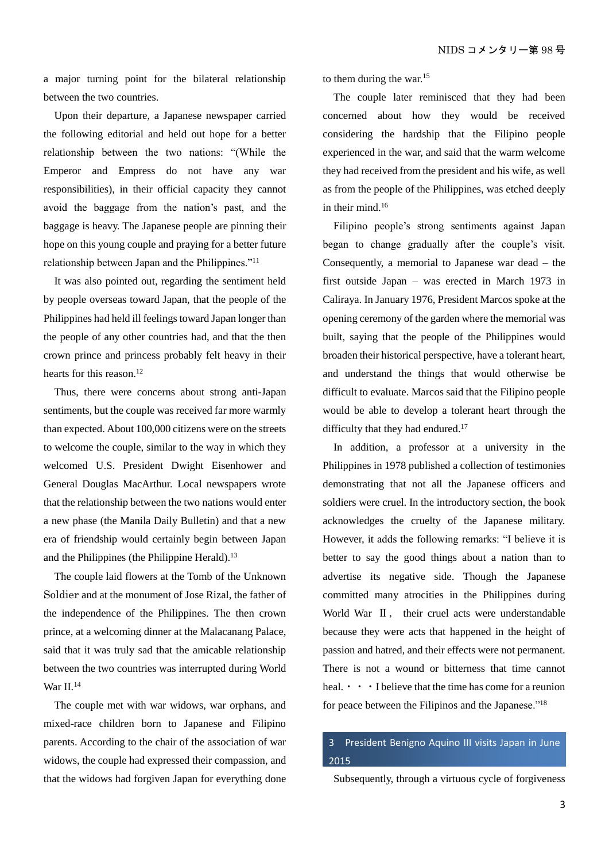a major turning point for the bilateral relationship between the two countries.

Upon their departure, a Japanese newspaper carried the following editorial and held out hope for a better relationship between the two nations: "(While the Emperor and Empress do not have any war responsibilities), in their official capacity they cannot avoid the baggage from the nation's past, and the baggage is heavy. The Japanese people are pinning their hope on this young couple and praying for a better future relationship between Japan and the Philippines."<sup>11</sup>

It was also pointed out, regarding the sentiment held by people overseas toward Japan, that the people of the Philippines had held ill feelings toward Japan longer than the people of any other countries had, and that the then crown prince and princess probably felt heavy in their hearts for this reason.<sup>12</sup>

Thus, there were concerns about strong anti-Japan sentiments, but the couple was received far more warmly than expected. About 100,000 citizens were on the streets to welcome the couple, similar to the way in which they welcomed U.S. President Dwight Eisenhower and General Douglas MacArthur. Local newspapers wrote that the relationship between the two nations would enter a new phase (the Manila Daily Bulletin) and that a new era of friendship would certainly begin between Japan and the Philippines (the Philippine Herald).<sup>13</sup>

The couple laid flowers at the Tomb of the Unknown Soldier and at the monument of Jose Rizal, the father of the independence of the Philippines. The then crown prince, at a welcoming dinner at the Malacanang Palace, said that it was truly sad that the amicable relationship between the two countries was interrupted during World War II.<sup>14</sup>

The couple met with war widows, war orphans, and mixed-race children born to Japanese and Filipino parents. According to the chair of the association of war widows, the couple had expressed their compassion, and that the widows had forgiven Japan for everything done

to them during the war.<sup>15</sup>

The couple later reminisced that they had been concerned about how they would be received considering the hardship that the Filipino people experienced in the war, and said that the warm welcome they had received from the president and his wife, as well as from the people of the Philippines, was etched deeply in their mind.<sup>16</sup>

Filipino people's strong sentiments against Japan began to change gradually after the couple's visit. Consequently, a memorial to Japanese war dead – the first outside Japan – was erected in March 1973 in Caliraya. In January 1976, President Marcos spoke at the opening ceremony of the garden where the memorial was built, saying that the people of the Philippines would broaden their historical perspective, have a tolerant heart, and understand the things that would otherwise be difficult to evaluate. Marcos said that the Filipino people would be able to develop a tolerant heart through the difficulty that they had endured.<sup>17</sup>

In addition, a professor at a university in the Philippines in 1978 published a collection of testimonies demonstrating that not all the Japanese officers and soldiers were cruel. In the introductory section, the book acknowledges the cruelty of the Japanese military. However, it adds the following remarks: "I believe it is better to say the good things about a nation than to advertise its negative side. Though the Japanese committed many atrocities in the Philippines during World War II, their cruel acts were understandable because they were acts that happened in the height of passion and hatred, and their effects were not permanent. There is not a wound or bitterness that time cannot heal.  $\cdot \cdot \cdot$  I believe that the time has come for a reunion for peace between the Filipinos and the Japanese."<sup>18</sup>

## 3 President Benigno Aquino III visits Japan in June 2015

Subsequently, through a virtuous cycle of forgiveness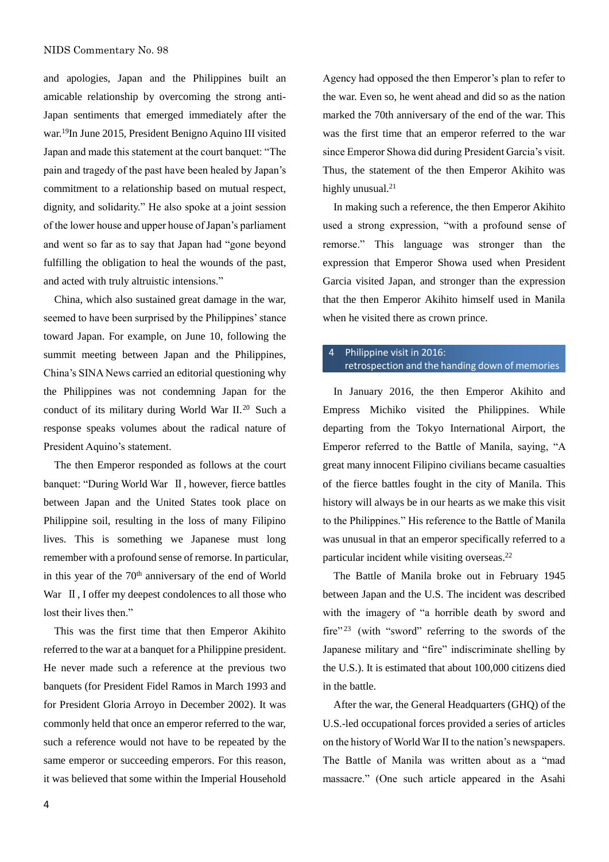and apologies, Japan and the Philippines built an amicable relationship by overcoming the strong anti-Japan sentiments that emerged immediately after the war.<sup>19</sup>In June 2015, President Benigno Aquino III visited Japan and made this statement at the court banquet: "The pain and tragedy of the past have been healed by Japan's commitment to a relationship based on mutual respect, dignity, and solidarity." He also spoke at a joint session of the lower house and upper house of Japan's parliament and went so far as to say that Japan had "gone beyond fulfilling the obligation to heal the wounds of the past, and acted with truly altruistic intensions."

China, which also sustained great damage in the war, seemed to have been surprised by the Philippines' stance toward Japan. For example, on June 10, following the summit meeting between Japan and the Philippines, China's SINA News carried an editorial questioning why the Philippines was not condemning Japan for the conduct of its military during World War II.<sup>20</sup> Such a response speaks volumes about the radical nature of President Aquino's statement.

The then Emperor responded as follows at the court banquet: "During World War Ⅱ, however, fierce battles between Japan and the United States took place on Philippine soil, resulting in the loss of many Filipino lives. This is something we Japanese must long remember with a profound sense of remorse. In particular, in this year of the 70<sup>th</sup> anniversary of the end of World War  $\mathbb I$ , I offer my deepest condolences to all those who lost their lives then."

This was the first time that then Emperor Akihito referred to the war at a banquet for a Philippine president. He never made such a reference at the previous two banquets (for President Fidel Ramos in March 1993 and for President Gloria Arroyo in December 2002). It was commonly held that once an emperor referred to the war, such a reference would not have to be repeated by the same emperor or succeeding emperors. For this reason, it was believed that some within the Imperial Household Agency had opposed the then Emperor's plan to refer to the war. Even so, he went ahead and did so as the nation marked the 70th anniversary of the end of the war. This was the first time that an emperor referred to the war since Emperor Showa did during President Garcia's visit. Thus, the statement of the then Emperor Akihito was highly unusual.<sup>21</sup>

In making such a reference, the then Emperor Akihito used a strong expression, "with a profound sense of remorse." This language was stronger than the expression that Emperor Showa used when President Garcia visited Japan, and stronger than the expression that the then Emperor Akihito himself used in Manila when he visited there as crown prince.

## 4 Philippine visit in 2016: retrospection and the handing down of memories

In January 2016, the then Emperor Akihito and Empress Michiko visited the Philippines. While departing from the Tokyo International Airport, the Emperor referred to the Battle of Manila, saying, "A great many innocent Filipino civilians became casualties of the fierce battles fought in the city of Manila. This history will always be in our hearts as we make this visit to the Philippines." His reference to the Battle of Manila was unusual in that an emperor specifically referred to a particular incident while visiting overseas.<sup>22</sup>

The Battle of Manila broke out in February 1945 between Japan and the U.S. The incident was described with the imagery of "a horrible death by sword and fire"<sup>23</sup> (with "sword" referring to the swords of the Japanese military and "fire" indiscriminate shelling by the U.S.). It is estimated that about 100,000 citizens died in the battle.

After the war, the General Headquarters (GHQ) of the U.S.-led occupational forces provided a series of articles on the history of World War II to the nation's newspapers. The Battle of Manila was written about as a "mad massacre." (One such article appeared in the Asahi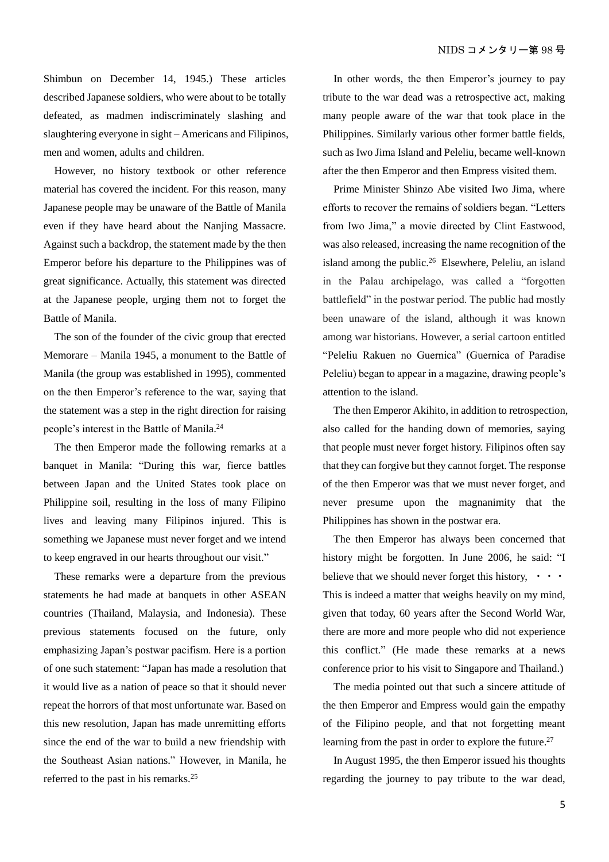Shimbun on December 14, 1945.) These articles described Japanese soldiers, who were about to be totally defeated, as madmen indiscriminately slashing and slaughtering everyone in sight – Americans and Filipinos, men and women, adults and children.

However, no history textbook or other reference material has covered the incident. For this reason, many Japanese people may be unaware of the Battle of Manila even if they have heard about the Nanjing Massacre. Against such a backdrop, the statement made by the then Emperor before his departure to the Philippines was of great significance. Actually, this statement was directed at the Japanese people, urging them not to forget the Battle of Manila.

The son of the founder of the civic group that erected Memorare – Manila 1945, a monument to the Battle of Manila (the group was established in 1995), commented on the then Emperor's reference to the war, saying that the statement was a step in the right direction for raising people's interest in the Battle of Manila.<sup>24</sup>

The then Emperor made the following remarks at a banquet in Manila: "During this war, fierce battles between Japan and the United States took place on Philippine soil, resulting in the loss of many Filipino lives and leaving many Filipinos injured. This is something we Japanese must never forget and we intend to keep engraved in our hearts throughout our visit."

These remarks were a departure from the previous statements he had made at banquets in other ASEAN countries (Thailand, Malaysia, and Indonesia). These previous statements focused on the future, only emphasizing Japan's postwar pacifism. Here is a portion of one such statement: "Japan has made a resolution that it would live as a nation of peace so that it should never repeat the horrors of that most unfortunate war. Based on this new resolution, Japan has made unremitting efforts since the end of the war to build a new friendship with the Southeast Asian nations." However, in Manila, he referred to the past in his remarks.<sup>25</sup>

In other words, the then Emperor's journey to pay tribute to the war dead was a retrospective act, making many people aware of the war that took place in the Philippines. Similarly various other former battle fields, such as Iwo Jima Island and Peleliu, became well-known after the then Emperor and then Empress visited them.

Prime Minister Shinzo Abe visited Iwo Jima, where efforts to recover the remains of soldiers began. "Letters from Iwo Jima," a movie directed by Clint Eastwood, was also released, increasing the name recognition of the island among the public.<sup>26</sup> Elsewhere, Peleliu, an island in the Palau archipelago, was called a "forgotten battlefield" in the postwar period. The public had mostly been unaware of the island, although it was known among war historians. However, a serial cartoon entitled "Peleliu Rakuen no Guernica" (Guernica of Paradise Peleliu) began to appear in a magazine, drawing people's attention to the island.

The then Emperor Akihito, in addition to retrospection, also called for the handing down of memories, saying that people must never forget history. Filipinos often say that they can forgive but they cannot forget. The response of the then Emperor was that we must never forget, and never presume upon the magnanimity that the Philippines has shown in the postwar era.

The then Emperor has always been concerned that history might be forgotten. In June 2006, he said: "I believe that we should never forget this history,  $\cdot \cdot \cdot$ This is indeed a matter that weighs heavily on my mind, given that today, 60 years after the Second World War, there are more and more people who did not experience this conflict." (He made these remarks at a news conference prior to his visit to Singapore and Thailand.)

The media pointed out that such a sincere attitude of the then Emperor and Empress would gain the empathy of the Filipino people, and that not forgetting meant learning from the past in order to explore the future.<sup>27</sup>

In August 1995, the then Emperor issued his thoughts regarding the journey to pay tribute to the war dead,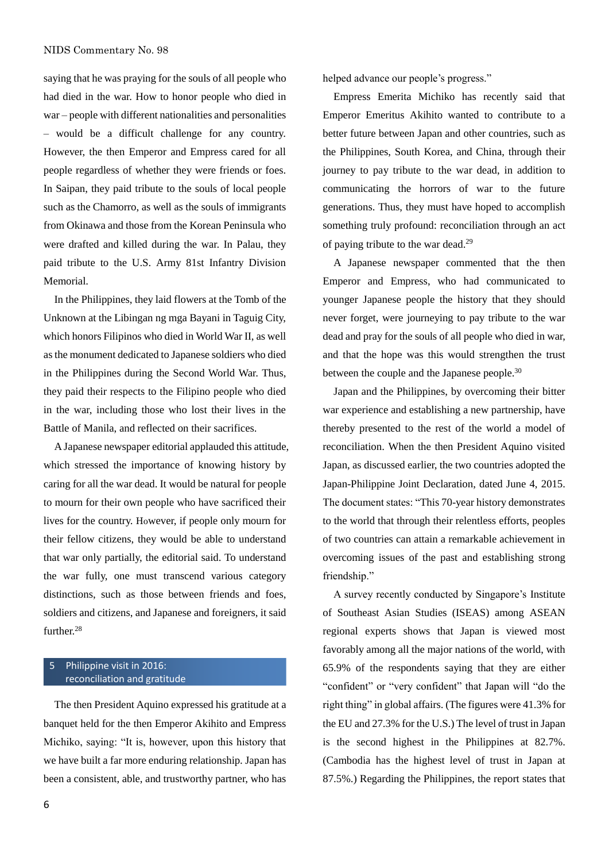saying that he was praying for the souls of all people who had died in the war. How to honor people who died in war – people with different nationalities and personalities – would be a difficult challenge for any country. However, the then Emperor and Empress cared for all people regardless of whether they were friends or foes. In Saipan, they paid tribute to the souls of local people such as the Chamorro, as well as the souls of immigrants from Okinawa and those from the Korean Peninsula who were drafted and killed during the war. In Palau, they paid tribute to the U.S. Army 81st Infantry Division Memorial.

In the Philippines, they laid flowers at the Tomb of the Unknown at the Libingan ng mga Bayani in Taguig City, which honors Filipinos who died in World War II, as well as the monument dedicated to Japanese soldiers who died in the Philippines during the Second World War. Thus, they paid their respects to the Filipino people who died in the war, including those who lost their lives in the Battle of Manila, and reflected on their sacrifices.

A Japanese newspaper editorial applauded this attitude, which stressed the importance of knowing history by caring for all the war dead. It would be natural for people to mourn for their own people who have sacrificed their lives for the country. However, if people only mourn for their fellow citizens, they would be able to understand that war only partially, the editorial said. To understand the war fully, one must transcend various category distinctions, such as those between friends and foes, soldiers and citizens, and Japanese and foreigners, it said further.<sup>28</sup>

#### 5 Philippine visit in 2016: reconciliation and gratitude

The then President Aquino expressed his gratitude at a banquet held for the then Emperor Akihito and Empress Michiko, saying: "It is, however, upon this history that we have built a far more enduring relationship. Japan has been a consistent, able, and trustworthy partner, who has

helped advance our people's progress."

Empress Emerita Michiko has recently said that Emperor Emeritus Akihito wanted to contribute to a better future between Japan and other countries, such as the Philippines, South Korea, and China, through their journey to pay tribute to the war dead, in addition to communicating the horrors of war to the future generations. Thus, they must have hoped to accomplish something truly profound: reconciliation through an act of paying tribute to the war dead.<sup>29</sup>

A Japanese newspaper commented that the then Emperor and Empress, who had communicated to younger Japanese people the history that they should never forget, were journeying to pay tribute to the war dead and pray for the souls of all people who died in war, and that the hope was this would strengthen the trust between the couple and the Japanese people.<sup>30</sup>

Japan and the Philippines, by overcoming their bitter war experience and establishing a new partnership, have thereby presented to the rest of the world a model of reconciliation. When the then President Aquino visited Japan, as discussed earlier, the two countries adopted the Japan-Philippine Joint Declaration, dated June 4, 2015. The document states: "This 70-year history demonstrates to the world that through their relentless efforts, peoples of two countries can attain a remarkable achievement in overcoming issues of the past and establishing strong friendship."

A survey recently conducted by Singapore's Institute of Southeast Asian Studies (ISEAS) among ASEAN regional experts shows that Japan is viewed most favorably among all the major nations of the world, with 65.9% of the respondents saying that they are either "confident" or "very confident" that Japan will "do the right thing" in global affairs. (The figures were 41.3% for the EU and 27.3% for the U.S.) The level of trust in Japan is the second highest in the Philippines at 82.7%. (Cambodia has the highest level of trust in Japan at 87.5%.) Regarding the Philippines, the report states that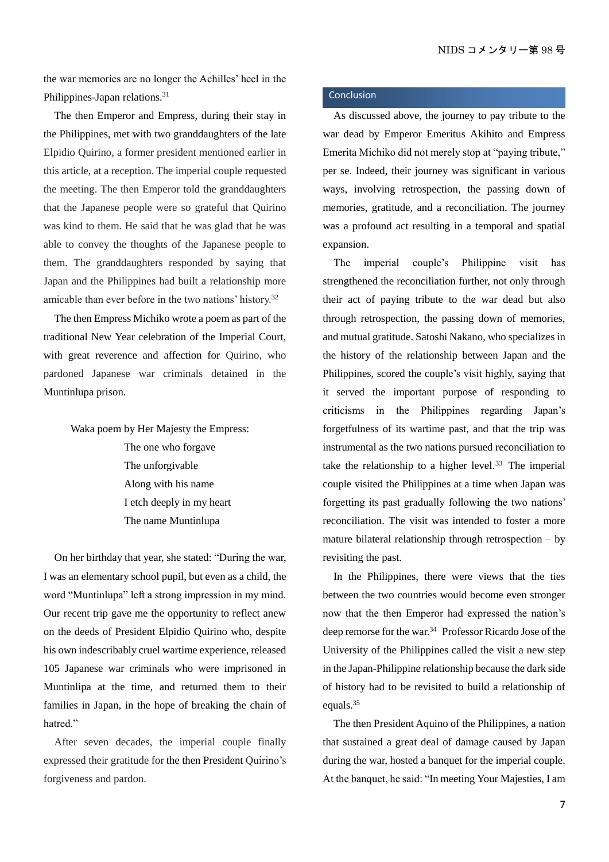the war memories are no longer the Achilles' heel in the Philippines-Japan relations.<sup>31</sup>

The then Emperor and Empress, during their stay in the Philippines, met with two granddaughters of the late Elpidio Quirino, a former president mentioned earlier in this article, at a reception. The imperial couple requested the meeting. The then Emperor told the granddaughters that the Japanese people were so grateful that Quirino was kind to them. He said that he was glad that he was able to convey the thoughts of the Japanese people to them. The granddaughters responded by saying that Japan and the Philippines had built a relationship more amicable than ever before in the two nations' history.<sup>32</sup>

The then Empress Michiko wrote a poem as part of the traditional New Year celebration of the Imperial Court, with great reverence and affection for Quirino, who pardoned Japanese war criminals detained in the Muntinlupa prison.

Waka poem by Her Majesty the Empress:

The one who forgave The unforgivable Along with his name I etch deeply in my heart The name Muntinlupa

On her birthday that year, she stated: "During the war, I was an elementary school pupil, but even as a child, the word "Muntinlupa" left a strong impression in my mind. Our recent trip gave me the opportunity to reflect anew on the deeds of President Elpidio Quirino who, despite his own indescribably cruel wartime experience, released 105 Japanese war criminals who were imprisoned in Muntinlipa at the time, and returned them to their families in Japan, in the hope of breaking the chain of hatred."

After seven decades, the imperial couple finally expressed their gratitude for the then President Quirino's forgiveness and pardon.

#### Conclusion

As discussed above, the journey to pay tribute to the war dead by Emperor Emeritus Akihito and Empress Emerita Michiko did not merely stop at "paying tribute," per se. Indeed, their journey was significant in various ways, involving retrospection, the passing down of memories, gratitude, and a reconciliation. The journey was a profound act resulting in a temporal and spatial expansion.

The imperial couple's Philippine visit has strengthened the reconciliation further, not only through their act of paying tribute to the war dead but also through retrospection, the passing down of memories, and mutual gratitude. Satoshi Nakano, who specializes in the history of the relationship between Japan and the Philippines, scored the couple's visit highly, saying that it served the important purpose of responding to criticisms in the Philippines regarding Japan's forgetfulness of its wartime past, and that the trip was instrumental as the two nations pursued reconciliation to take the relationship to a higher level.<sup>33</sup> The imperial couple visited the Philippines at a time when Japan was forgetting its past gradually following the two nations' reconciliation. The visit was intended to foster a more mature bilateral relationship through retrospection – by revisiting the past.

 In the Philippines, there were views that the ties between the two countries would become even stronger now that the then Emperor had expressed the nation's deep remorse for the war.<sup>34</sup> Professor Ricardo Jose of the University of the Philippines called the visit a new step in the Japan-Philippine relationship because the dark side of history had to be revisited to build a relationship of equals.<sup>35</sup>

The then President Aquino of the Philippines, a nation that sustained a great deal of damage caused by Japan during the war, hosted a banquet for the imperial couple. At the banquet, he said: "In meeting Your Majesties, I am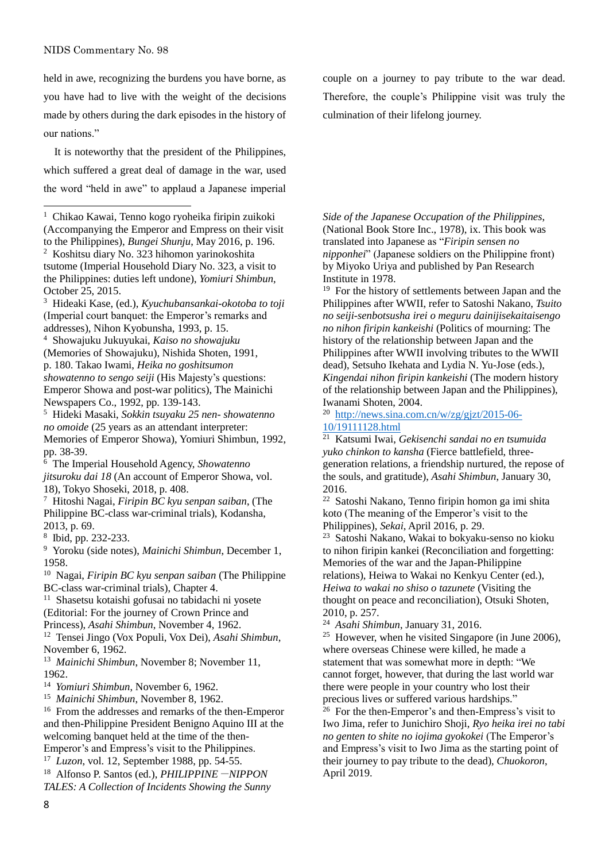$\overline{a}$ 

held in awe, recognizing the burdens you have borne, as you have had to live with the weight of the decisions made by others during the dark episodes in the history of our nations."

It is noteworthy that the president of the Philippines, which suffered a great deal of damage in the war, used the word "held in awe" to applaud a Japanese imperial

October 25, 2015. <sup>3</sup> Hideaki Kase, (ed.), *Kyuchubansankai-okotoba to toji*

(Imperial court banquet: the Emperor's remarks and addresses), Nihon Kyobunsha, 1993, p. 15.

<sup>4</sup> Showajuku Jukuyukai, *Kaiso no showajuku* (Memories of Showajuku), Nishida Shoten, 1991, p. 180. Takao Iwami, *Heika no goshitsumon showatenno to sengo seiji* (His Majesty's questions: Emperor Showa and post-war politics), The Mainichi Newspapers Co., 1992, pp. 139-143.

<sup>5</sup> Hideki Masaki, *Sokkin tsuyaku 25 nen- showatenno no omoide* (25 years as an attendant interpreter: Memories of Emperor Showa), Yomiuri Shimbun, 1992, pp. 38-39.

<sup>6</sup> The Imperial Household Agency, *Showatenno jitsuroku dai 18* (An account of Emperor Showa, vol. 18), Tokyo Shoseki, 2018, p. 408.

<sup>7</sup> Hitoshi Nagai, *Firipin BC kyu senpan saiban*, (The Philippine BC-class war-criminal trials), Kodansha, 2013, p. 69.

8 Ibid, pp. 232-233.

<sup>9</sup> Yoroku (side notes), *Mainichi Shimbun*, December 1, 1958.

<sup>10</sup> Nagai, *Firipin BC kyu senpan saiban* (The Philippine BC-class war-criminal trials), Chapter 4.

<sup>11</sup> Shasetsu kotaishi gofusai no tabidachi ni yosete (Editorial: For the journey of Crown Prince and

Princess), *Asahi Shimbun*, November 4, 1962.

<sup>12</sup> Tensei Jingo (Vox Populi, Vox Dei), *Asahi Shimbun*, November 6, 1962.

<sup>13</sup> *Mainichi Shimbun*, November 8; November 11, 1962.

<sup>14</sup> *Yomiuri Shimbun*, November 6, 1962.

<sup>15</sup> *Mainichi Shimbun*, November 8, 1962.

<sup>16</sup> From the addresses and remarks of the then-Emperor and then-Philippine President Benigno Aquino III at the welcoming banquet held at the time of the then-Emperor's and Empress's visit to the Philippines.

<sup>17</sup> *Luzon*, vol. 12, September 1988, pp. 54-55.

<sup>18</sup> Alfonso P. Santos (ed.), *PHILIPPINE*-*NIPPON TALES: A Collection of Incidents Showing the Sunny*  couple on a journey to pay tribute to the war dead. Therefore, the couple's Philippine visit was truly the culmination of their lifelong journey.

*Side of the Japanese Occupation of the Philippines*, (National Book Store Inc., 1978), ix. This book was translated into Japanese as "*Firipin sensen no nipponhei*" (Japanese soldiers on the Philippine front) by Miyoko Uriya and published by Pan Research Institute in 1978.

<sup>19</sup> For the history of settlements between Japan and the Philippines after WWII, refer to Satoshi Nakano, *Tsuito no seiji-senbotsusha irei o meguru dainijisekaitaisengo no nihon firipin kankeishi* (Politics of mourning: The history of the relationship between Japan and the Philippines after WWII involving tributes to the WWII dead), Setsuho Ikehata and Lydia N. Yu-Jose (eds.), *Kingendai nihon firipin kankeishi* (The modern history of the relationship between Japan and the Philippines), Iwanami Shoten, 2004.

<sup>20</sup> [http://news.sina.com.cn/w/zg/gjzt/2015-06-](http://news.sina.com.cn/w/zg/gjzt/2015-06-10/19111128.html) [10/19111128.html](http://news.sina.com.cn/w/zg/gjzt/2015-06-10/19111128.html)

<sup>21</sup> Katsumi Iwai, *Gekisenchi sandai no en tsumuida yuko chinkon to kansha* (Fierce battlefield, threegeneration relations, a friendship nurtured, the repose of the souls, and gratitude), *Asahi Shimbun*, January 30, 2016.

<sup>22</sup> Satoshi Nakano, Tenno firipin homon ga imi shita koto (The meaning of the Emperor's visit to the Philippines), *Sekai*, April 2016, p. 29.

<sup>23</sup> Satoshi Nakano, Wakai to bokyaku-senso no kioku to nihon firipin kankei (Reconciliation and forgetting: Memories of the war and the Japan-Philippine relations), Heiwa to Wakai no Kenkyu Center (ed.), *Heiwa to wakai no shiso o tazunete* (Visiting the thought on peace and reconciliation), Otsuki Shoten, 2010, p. 257.

<sup>24</sup> *Asahi Shimbun*, January 31, 2016.

<sup>25</sup> However, when he visited Singapore (in June 2006), where overseas Chinese were killed, he made a statement that was somewhat more in depth: "We cannot forget, however, that during the last world war there were people in your country who lost their precious lives or suffered various hardships."

 $26$  For the then-Emperor's and then-Empress's visit to Iwo Jima, refer to Junichiro Shoji, *Ryo heika irei no tabi no genten to shite no iojima gyokokei* (The Emperor's and Empress's visit to Iwo Jima as the starting point of their journey to pay tribute to the dead), *Chuokoron*, April 2019.

<sup>&</sup>lt;sup>1</sup> Chikao Kawai, Tenno kogo ryoheika firipin zuikoki (Accompanying the Emperor and Empress on their visit to the Philippines), *Bungei Shunju*, May 2016, p. 196. <sup>2</sup> Koshitsu diary No. 323 hihomon yarinokoshita tsutome (Imperial Household Diary No. 323, a visit to the Philippines: duties left undone), *Yomiuri Shimbun*,